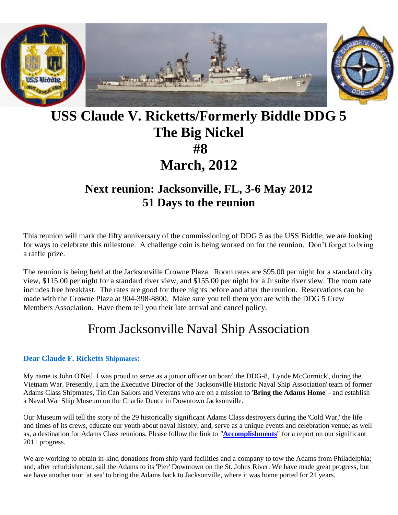

# **USS Claude V. Ricketts/Formerly Biddle DDG 5 The Big Nickel #8 March, 2012**

## **Next reunion: Jacksonville, FL, 3-6 May 2012 51 Days to the reunion**

This reunion will mark the fifty anniversary of the commissioning of DDG 5 as the USS Biddle; we are looking for ways to celebrate this milestone. A challenge coin is being worked on for the reunion. Don't forget to bring a raffle prize.

The reunion is being held at the Jacksonville Crowne Plaza. Room rates are \$95.00 per night for a standard city view, \$115.00 per night for a standard river view, and \$155.00 per night for a Jr suite river view. The room rate includes free breakfast. The rates are good for three nights before and after the reunion. Reservations can be made with the Crowne Plaza at 904-398-8800. Make sure you tell them you are with the DDG 5 Crew Members Association. Have them tell you their late arrival and cancel policy.

## From Jacksonville Naval Ship Association

#### **Dear Claude F. Ricketts Shipmates:**

My name is John O'Neil. I was proud to serve as a junior officer on board the DDG-8, 'Lynde McCormick', during the Vietnam War. Presently, I am the Executive Director of the 'Jacksonville Historic Naval Ship Association' team of former Adams Class Shipmates, Tin Can Sailors and Veterans who are on a mission to '**Bring the Adams Home**' - and establish a Naval War Ship Museum on the Charlie Deuce in Downtown Jacksonville.

Our Museum will tell the story of the 29 historically significant Adams Class destroyers during the 'Cold War,' the life and times of its crews, educate our youth about naval history; and, serve as a unique events and celebration venue; as well as, a destination for Adams Class reunions. Please follow the link to *"***[Accomplishments](http://r20.rs6.net/tn.jsp?llr=lxqktncab&et=1109274115683&s=0&e=001uFoP5_06b8YjtujRkAyVGGf_2Mi4baUkX-vsvg4sdNBY_dvJnYESRXp2gKT5y5VQ22Vbq2Ymiud6IzPGuFOaRS6Yg5G-zdi7o_TVz-BC4879xNJ75YzfhpoUVDjNvADxSOVpiAzvehfLk7-V7wzg7Bpj2KWMQRdujOBGCB5CmFqX8aYkwc3I32W6unNS8Btm7gnOBn8lKQVJAGxWLGqA2A==)**" for a report on our significant 2011 progress.

We are working to obtain in-kind donations from ship yard facilities and a company to tow the Adams from Philadelphia; and, after refurbishment, sail the Adams to its 'Pier' Downtown on the St. Johns River. We have made great progress, but we have another tour 'at sea' to bring the Adams back to Jacksonville, where it was home ported for 21 years.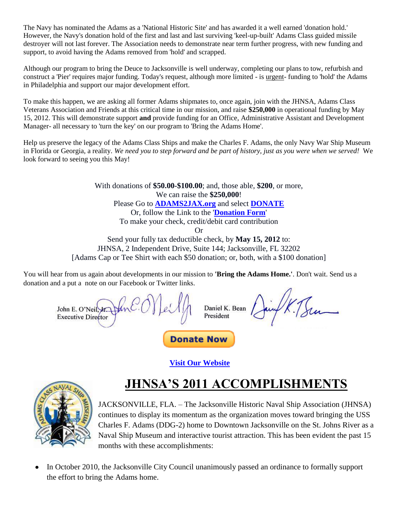The Navy has nominated the Adams as a 'National Historic Site' and has awarded it a well earned 'donation hold.' However, the Navy's donation hold of the first and last and last surviving 'keel-up-built' Adams Class guided missile destroyer will not last forever. The Association needs to demonstrate near term further progress, with new funding and support, to avoid having the Adams removed from 'hold' and scrapped.

Although our program to bring the Deuce to Jacksonville is well underway, completing our plans to tow, refurbish and construct a 'Pier' requires major funding. Today's request, although more limited - is urgent- funding to 'hold' the Adams in Philadelphia and support our major development effort.

To make this happen, we are asking all former Adams shipmates to, once again, join with the JHNSA, Adams Class Veterans Association and Friends at this critical time in our mission, and raise **\$250,000** in operational funding by May 15, 2012. This will demonstrate support **and** provide funding for an Office, Administrative Assistant and Development Manager- all necessary to 'turn the key' on our program to 'Bring the Adams Home'.

Help us preserve the legacy of the Adams Class Ships and make the Charles F. Adams, the only Navy War Ship Museum in Florida or Georgia, a reality. *We need you to step forward and be part of history, just as you were when we served!* We look forward to seeing you this May!

> With donations of **\$50.00-\$100.00**; and, those able, **\$200**, or more, We can raise the **\$250,000**! Please Go to **[ADAMS2JAX.org](http://r20.rs6.net/tn.jsp?llr=lxqktncab&et=1109274115683&s=0&e=001uFoP5_06b8YjtujRkAyVGGf_2Mi4baUkX-vsvg4sdNBY_dvJnYESRXp2gKT5y5VQ22Vbq2YmiufN_HZOxTSLY6zgCk8U9kBq)** and select **[DONATE](http://r20.rs6.net/tn.jsp?llr=lxqktncab&et=1109274115683&s=0&e=001uFoP5_06b8YjtujRkAyVGGf_2Mi4baUkX-vsvg4sdNBY_dvJnYESRXp2gKT5y5VQ22Vbq2Ymiud6IzPGuFOaRS6Yg5G-zdi7o_TVz-BC484I2H_Oq2bRmuViqtnqmPaAI65iDWUlY08=)** Or, follow the Link to the '**[Donation Form](http://r20.rs6.net/tn.jsp?llr=lxqktncab&et=1109274115683&s=0&e=001uFoP5_06b8YjtujRkAyVGGf_2Mi4baUkX-vsvg4sdNBY_dvJnYESRXp2gKT5y5VQ22Vbq2Ymiud6IzPGuFOaRS6Yg5G-zdi7o_TVz-BC4879xNJ75YzfhpoUVDjNvADxSOVpiAzvehfLk7-V7wzg7BhSOMaKonCuYUSHn7u2wmr-dJy-XYR1YrY160aMwXOsl1jp5pBi0miuyTx700mFM4WMH-tpXzeH)**' To make your check, credit/debit card contribution Or Send your fully tax deductible check, by **May 15, 2012** to: JHNSA, 2 Independent Drive, Suite 144; Jacksonville, FL 32202

[Adams Cap or Tee Shirt with each \$50 donation; or, both, with a \$100 donation]

You will hear from us again about developments in our mission to **'Bring the Adams Home.'**. Don't wait. Send us a donation and a put a note on our Facebook or Twitter links.

Daniel K. Bean John E. O'Neil President **Executive Director Donate Now** 

**[Visit Our Website](http://r20.rs6.net/tn.jsp?llr=lxqktncab&et=1109274115683&s=0&e=001uFoP5_06b8YjtujRkAyVGGf_2Mi4baUkX-vsvg4sdNBY_dvJnYESRXp2gKT5y5VQ22Vbq2YmiufN_HZOxTSLY6zgCk8U9kBq)**



# **JHNSA'S 2011 ACCOMPLISHMENTS**

JACKSONVILLE, FLA. – The Jacksonville Historic Naval Ship Association (JHNSA) continues to display its momentum as the organization moves toward bringing the USS Charles F. Adams (DDG-2) home to Downtown Jacksonville on the St. Johns River as a Naval Ship Museum and interactive tourist attraction. This has been evident the past 15 months with these accomplishments:

In October 2010, the Jacksonville City Council unanimously passed an ordinance to formally support the effort to bring the Adams home.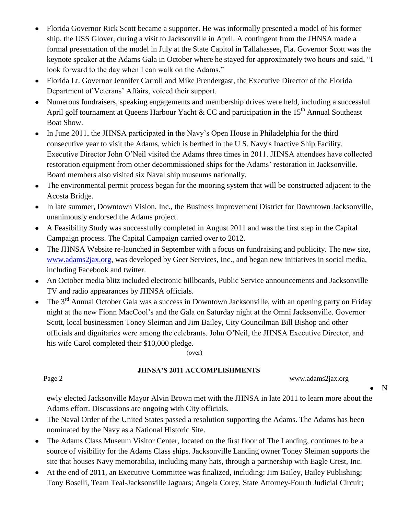- Florida Governor Rick Scott became a supporter. He was informally presented a model of his former  $\bullet$ ship, the USS Glover, during a visit to Jacksonville in April. A contingent from the JHNSA made a formal presentation of the model in July at the State Capitol in Tallahassee, Fla. Governor Scott was the keynote speaker at the Adams Gala in October where he stayed for approximately two hours and said, "I look forward to the day when I can walk on the Adams."
- Florida Lt. Governor Jennifer Carroll and Mike Prendergast, the Executive Director of the Florida Department of Veterans' Affairs, voiced their support.
- Numerous fundraisers, speaking engagements and membership drives were held, including a successful April golf tournament at Queens Harbour Yacht & CC and participation in the 15<sup>th</sup> Annual Southeast Boat Show.
- In June 2011, the JHNSA participated in the Navy's Open House in Philadelphia for the third  $\bullet$ consecutive year to visit the Adams, which is berthed in the U S. Navy's Inactive Ship Facility. Executive Director John O'Neil visited the Adams three times in 2011. JHNSA attendees have collected restoration equipment from other decommissioned ships for the Adams' restoration in Jacksonville. Board members also visited six Naval ship museums nationally.
- $\bullet$ The environmental permit process began for the mooring system that will be constructed adjacent to the Acosta Bridge.
- In late summer, Downtown Vision, Inc., the Business Improvement District for Downtown Jacksonville, unanimously endorsed the Adams project.
- A Feasibility Study was successfully completed in August 2011 and was the first step in the Capital Campaign process. The Capital Campaign carried over to 2012.
- The JHNSA Website re-launched in September with a focus on fundraising and publicity. The new site, [www.adams2jax.org,](http://www.adams2jax.org/) was developed by Geer Services, Inc., and began new initiatives in social media, including Facebook and twitter.
- An October media blitz included electronic billboards, Public Service announcements and Jacksonville  $\bullet$ TV and radio appearances by JHNSA officials.
- The 3<sup>rd</sup> Annual October Gala was a success in Downtown Jacksonville, with an opening party on Friday night at the new Fionn MacCool's and the Gala on Saturday night at the Omni Jacksonville. Governor Scott, local businessmen Toney Sleiman and Jim Bailey, City Councilman Bill Bishop and other officials and dignitaries were among the celebrants. John O'Neil, the JHNSA Executive Director, and his wife Carol completed their \$10,000 pledge.

(over)

### **JHNSA'S 2011 ACCOMPLISHMENTS**

Page 2 www.adams2jax.org

ewly elected Jacksonville Mayor Alvin Brown met with the JHNSA in late 2011 to learn more about the Adams effort. Discussions are ongoing with City officials.

- The Naval Order of the United States passed a resolution supporting the Adams. The Adams has been  $\bullet$ nominated by the Navy as a National Historic Site.
- The Adams Class Museum Visitor Center, located on the first floor of The Landing, continues to be a source of visibility for the Adams Class ships. Jacksonville Landing owner Toney Sleiman supports the site that houses Navy memorabilia, including many hats, through a partnership with Eagle Crest, Inc.
- At the end of 2011, an Executive Committee was finalized, including: Jim Bailey, Bailey Publishing;  $\bullet$ Tony Boselli, Team Teal-Jacksonville Jaguars; Angela Corey, State Attorney-Fourth Judicial Circuit;

N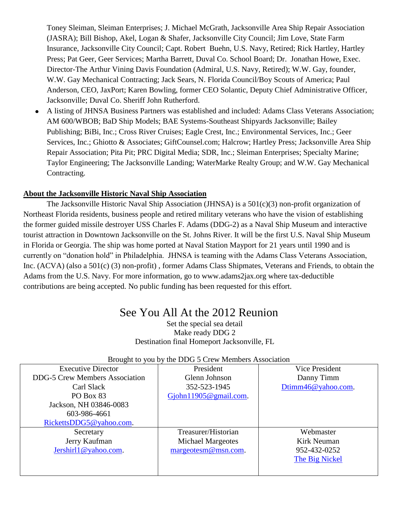Toney Sleiman, Sleiman Enterprises; J. Michael McGrath, Jacksonville Area Ship Repair Association (JASRA); Bill Bishop, Akel, Logan & Shafer, Jacksonville City Council; Jim Love, State Farm Insurance, Jacksonville City Council; Capt. Robert Buehn, U.S. Navy, Retired; Rick Hartley, Hartley Press; Pat Geer, Geer Services; Martha Barrett, Duval Co. School Board; Dr. Jonathan Howe, Exec. Director-The Arthur Vining Davis Foundation (Admiral, U.S. Navy, Retired); W.W. Gay, founder, W.W. Gay Mechanical Contracting; Jack Sears, N. Florida Council/Boy Scouts of America; Paul Anderson, CEO, JaxPort; Karen Bowling, former CEO Solantic, Deputy Chief Administrative Officer, Jacksonville; Duval Co. Sheriff John Rutherford.

A listing of JHNSA Business Partners was established and included: Adams Class Veterans Association; AM 600/WBOB; BaD Ship Models; BAE Systems-Southeast Shipyards Jacksonville; Bailey Publishing; BiBi, Inc.; Cross River Cruises; Eagle Crest, Inc.; Environmental Services, Inc.; Geer Services, Inc.; Ghiotto & Associates; GiftCounsel.com; Halcrow; Hartley Press; Jacksonville Area Ship Repair Association; Pita Pit; PRC Digital Media; SDR, Inc.; Sleiman Enterprises; Specialty Marine; Taylor Engineering; The Jacksonville Landing; WaterMarke Realty Group; and W.W. Gay Mechanical Contracting.

### **About the Jacksonville Historic Naval Ship Association**

The Jacksonville Historic Naval Ship Association (JHNSA) is a 501(c)(3) non-profit organization of Northeast Florida residents, business people and retired military veterans who have the vision of establishing the former guided missile destroyer USS Charles F. Adams (DDG-2) as a Naval Ship Museum and interactive tourist attraction in Downtown Jacksonville on the St. Johns River. It will be the first U.S. Naval Ship Museum in Florida or Georgia. The ship was home ported at Naval Station Mayport for 21 years until 1990 and is currently on "donation hold" in Philadelphia. JHNSA is teaming with the Adams Class Veterans Association, Inc. (ACVA) (also a 501(c) (3) non-profit) , former Adams Class Shipmates, Veterans and Friends, to obtain the Adams from the U.S. Navy. For more information, go to www.adams2jax.org where tax-deductible contributions are being accepted. No public funding has been requested for this effort.

### See You All At the 2012 Reunion

Set the special sea detail Make ready DDG 2 Destination final Homeport Jacksonville, FL

| <b>Executive Director</b>             | President                | <b>Vice President</b> |  |  |  |
|---------------------------------------|--------------------------|-----------------------|--|--|--|
| <b>DDG-5 Crew Members Association</b> | Glenn Johnson            | Danny Timm            |  |  |  |
| Carl Slack                            | 352-523-1945             | Dtimm46@yahoo.com.    |  |  |  |
| PO Box 83                             | $G$ john 1905@gmail.com. |                       |  |  |  |
| Jackson, NH 03846-0083                |                          |                       |  |  |  |
| 603-986-4661                          |                          |                       |  |  |  |
| RickettsDDG5@yahoo.com.               |                          |                       |  |  |  |
| Secretary                             | Treasurer/Historian      | Webmaster             |  |  |  |
| Jerry Kaufman                         | <b>Michael Margeotes</b> | Kirk Neuman           |  |  |  |
| Jershirl1@yahoo.com.                  | margeotesm@msn.com.      | 952-432-0252          |  |  |  |
|                                       |                          | The Big Nickel        |  |  |  |
|                                       |                          |                       |  |  |  |
|                                       |                          |                       |  |  |  |

#### Brought to you by the DDG 5 Crew Members Association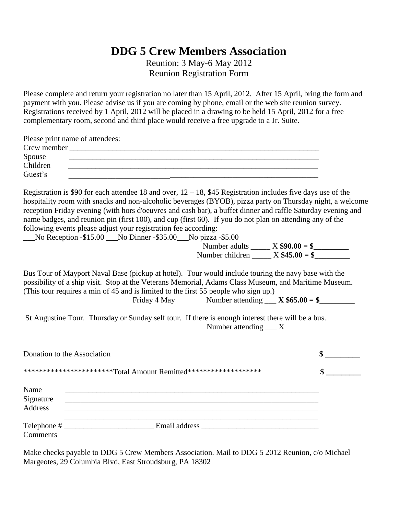### **DDG 5 Crew Members Association**

Reunion: 3 May-6 May 2012 Reunion Registration Form

Please complete and return your registration no later than 15 April, 2012. After 15 April, bring the form and payment with you. Please advise us if you are coming by phone, email or the web site reunion survey. Registrations received by 1 April, 2012 will be placed in a drawing to be held 15 April, 2012 for a free complementary room, second and third place would receive a free upgrade to a Jr. Suite.

|             | Please print name of attendees: |
|-------------|---------------------------------|
| Crew member |                                 |
| Spouse      |                                 |
| Children    |                                 |
| Guest's     |                                 |

Registration is \$90 for each attendee 18 and over,  $12 - 18$ , \$45 Registration includes five days use of the hospitality room with snacks and non-alcoholic beverages (BYOB), pizza party on Thursday night, a welcome reception Friday evening (with hors d'oeuvres and cash bar), a buffet dinner and raffle Saturday evening and name badges, and reunion pin (first 100), and cup (first 60). If you do not plan on attending any of the following events please adjust your registration fee according:

\_\_\_No Reception -\$15.00 \_\_\_No Dinner -\$35.00\_\_\_No pizza -\$5.00

 Number adults \_\_\_\_\_ X **\$90.00 = \$\_\_\_\_\_\_\_\_\_** Number children \_\_\_\_\_ X **\$45.00 = \$\_\_\_\_\_\_\_\_\_**

Bus Tour of Mayport Naval Base (pickup at hotel). Tour would include touring the navy base with the possibility of a ship visit. Stop at the Veterans Memorial, Adams Class Museum, and Maritime Museum. (This tour requires a min of 45 and is limited to the first 55 people who sign up.)

Friday 4 May Number attending  $\angle X$  \$65.00 = \$

St Augustine Tour. Thursday or Sunday self tour. If there is enough interest there will be a bus. Number attending X

| Donation to the Association                                       |               |  |
|-------------------------------------------------------------------|---------------|--|
| ************************Total Amount Remitted******************** |               |  |
| Name<br>Signature<br>Address                                      |               |  |
| <b>Comments</b>                                                   | Email address |  |

Make checks payable to DDG 5 Crew Members Association. Mail to DDG 5 2012 Reunion, c/o Michael Margeotes, 29 Columbia Blvd, East Stroudsburg, PA 18302